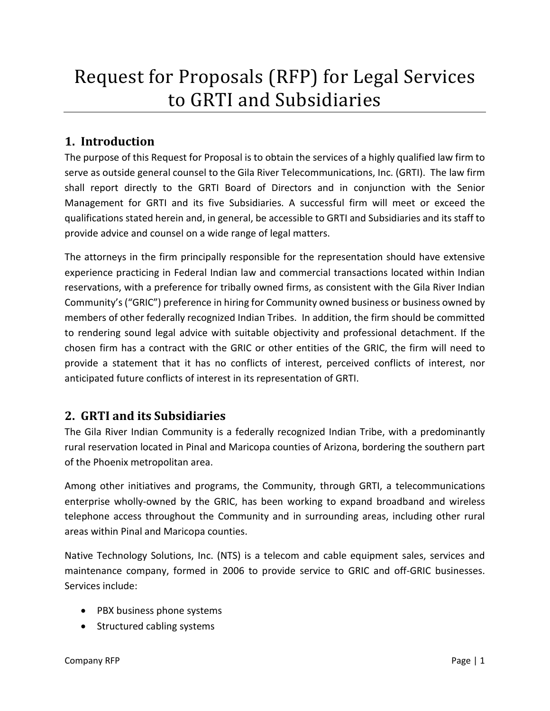# Request for Proposals (RFP) for Legal Services to GRTI and Subsidiaries

## **1. Introduction**

The purpose of this Request for Proposal is to obtain the services of a highly qualified law firm to serve as outside general counsel to the Gila River Telecommunications, Inc. (GRTI). The law firm shall report directly to the GRTI Board of Directors and in conjunction with the Senior Management for GRTI and its five Subsidiaries. A successful firm will meet or exceed the qualifications stated herein and, in general, be accessible to GRTI and Subsidiaries and its staff to provide advice and counsel on a wide range of legal matters.

The attorneys in the firm principally responsible for the representation should have extensive experience practicing in Federal Indian law and commercial transactions located within Indian reservations, with a preference for tribally owned firms, as consistent with the Gila River Indian Community's ("GRIC") preference in hiring for Community owned business or business owned by members of other federally recognized Indian Tribes. In addition, the firm should be committed to rendering sound legal advice with suitable objectivity and professional detachment. If the chosen firm has a contract with the GRIC or other entities of the GRIC, the firm will need to provide a statement that it has no conflicts of interest, perceived conflicts of interest, nor anticipated future conflicts of interest in its representation of GRTI.

### **2. GRTI and its Subsidiaries**

The Gila River Indian Community is a federally recognized Indian Tribe, with a predominantly rural reservation located in Pinal and Maricopa counties of Arizona, bordering the southern part of the Phoenix metropolitan area.

Among other initiatives and programs, the Community, through GRTI, a telecommunications enterprise wholly-owned by the GRIC, has been working to expand broadband and wireless telephone access throughout the Community and in surrounding areas, including other rural areas within Pinal and Maricopa counties.

Native Technology Solutions, Inc. (NTS) is a telecom and cable equipment sales, services and maintenance company, formed in 2006 to provide service to GRIC and off-GRIC businesses. Services include:

- PBX business phone systems
- Structured cabling systems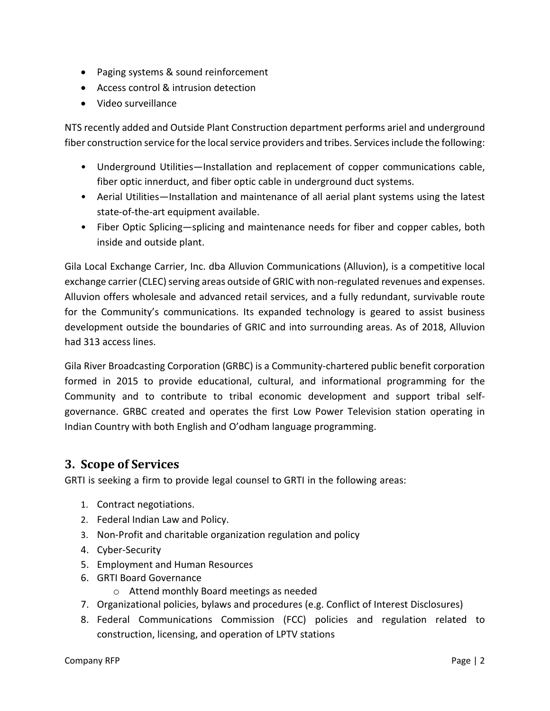- Paging systems & sound reinforcement
- Access control & intrusion detection
- Video surveillance

NTS recently added and Outside Plant Construction department performs ariel and underground fiber construction service for the local service providers and tribes. Services include the following:

- Underground Utilities—Installation and replacement of copper communications cable, fiber optic innerduct, and fiber optic cable in underground duct systems.
- Aerial Utilities—Installation and maintenance of all aerial plant systems using the latest state-of-the-art equipment available.
- Fiber Optic Splicing—splicing and maintenance needs for fiber and copper cables, both inside and outside plant.

Gila Local Exchange Carrier, Inc. dba Alluvion Communications (Alluvion), is a competitive local exchange carrier (CLEC) serving areas outside of GRIC with non-regulated revenues and expenses. Alluvion offers wholesale and advanced retail services, and a fully redundant, survivable route for the Community's communications. Its expanded technology is geared to assist business development outside the boundaries of GRIC and into surrounding areas. As of 2018, Alluvion had 313 access lines.

Gila River Broadcasting Corporation (GRBC) is a Community-chartered public benefit corporation formed in 2015 to provide educational, cultural, and informational programming for the Community and to contribute to tribal economic development and support tribal selfgovernance. GRBC created and operates the first Low Power Television station operating in Indian Country with both English and O'odham language programming.

#### **3. Scope of Services**

GRTI is seeking a firm to provide legal counsel to GRTI in the following areas:

- 1. Contract negotiations.
- 2. Federal Indian Law and Policy.
- 3. Non-Profit and charitable organization regulation and policy
- 4. Cyber-Security
- 5. Employment and Human Resources
- 6. GRTI Board Governance
	- o Attend monthly Board meetings as needed
- 7. Organizational policies, bylaws and procedures (e.g. Conflict of Interest Disclosures)
- 8. Federal Communications Commission (FCC) policies and regulation related to construction, licensing, and operation of LPTV stations